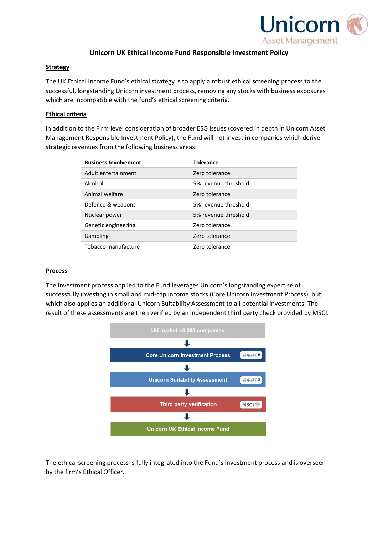

# **Unicorn UK Ethical Income Fund Responsible Investment Policy**

### **Strategy**

The UK Ethical Income Fund's ethical strategy is to apply a robust ethical screening process to the successful, longstanding Unicorn investment process, removing any stocks with business exposures which are incompatible with the fund's ethical screening criteria.

# **Ethical criteria**

In addition to the Firm level consideration of broader ESG issues (covered in depth in Unicorn Asset Management Responsible Investment Policy), the Fund will not invest in companies which derive strategic revenues from the following business areas:

| <b>Business Involvement</b> | <b>Tolerance</b>     |
|-----------------------------|----------------------|
| Adult entertainment         | Zero tolerance       |
| Alcohol                     | 5% revenue threshold |
| Animal welfare              | Zero tolerance       |
| Defence & weapons           | 5% revenue threshold |
| Nuclear power               | 5% revenue threshold |
| Genetic engineering         | Zero tolerance       |
| Gambling                    | Zero tolerance       |
| Tobacco manufacture         | Zero tolerance       |

# **Process**

The investment process applied to the Fund leverages Unicorn's longstanding expertise of successfully investing in small and mid-cap income stocks (Core Unicorn Investment Process), but which also applies an additional Unicorn Suitability Assessment to all potential investments. The result of these assessments are then verified by an independent third party check provided by MSCI.



The ethical screening process is fully integrated into the Fund's investment process and is overseen by the firm's Ethical Officer.